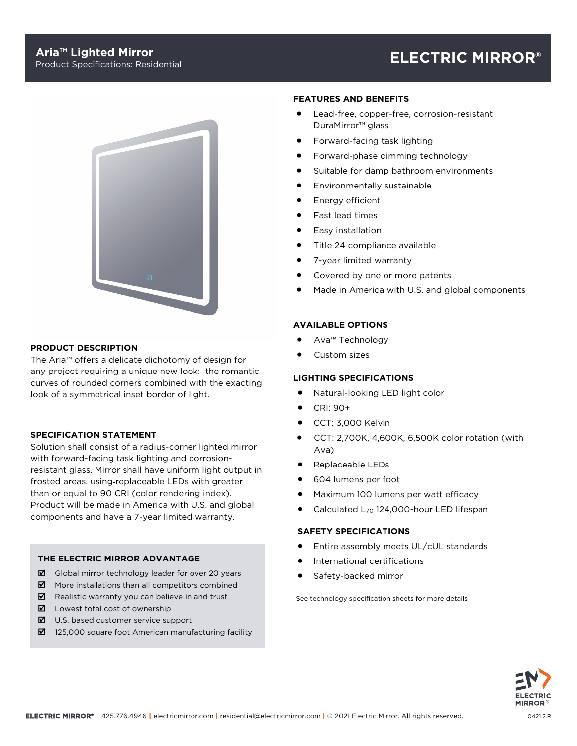

# **PRODUCT DESCRIPTION**

The Aria™ offers a delicate dichotomy of design for any project requiring a unique new look: the romantic curves of rounded corners combined with the exacting look of a symmetrical inset border of light.

# **SPECIFICATION STATEMENT**

Solution shall consist of a radius-corner lighted mirror with forward-facing task lighting and corrosionresistant glass. Mirror shall have uniform light output in frosted areas, using replaceable LEDs with greater than or equal to 90 CRI (color rendering index). Product will be made in America with U.S. and global components and have a 7-year limited warranty.

# **THE ELECTRIC MIRROR ADVANTAGE**

- Global mirror technology leader for over 20 years
- $\boxtimes$  More installations than all competitors combined
- $\boxtimes$  Realistic warranty you can believe in and trust
- $\boxtimes$  Lowest total cost of ownership
- $\boxtimes$  U.S. based customer service support
- $\boxtimes$  125,000 square foot American manufacturing facility

#### **FEATURES AND BENEFITS**

- Lead-free, copper-free, corrosion-resistant DuraMirror™ glass
- Forward-facing task lighting
- Forward-phase dimming technology
- Suitable for damp bathroom environments
- Environmentally sustainable
- Energy efficient
- Fast lead times
- Easy installation
- Title 24 compliance available
- 7-year limited warranty
- Covered by one or more patents
- Made in America with U.S. and global components

### **AVAILABLE OPTIONS**

- Ava™ Technology <sup>1</sup>
- Custom sizes

# **LIGHTING SPECIFICATIONS**

- Natural-looking LED light color
- CRI: 90+
- CCT: 3,000 Kelvin
- CCT: 2,700K, 4,600K, 6,500K color rotation (with Ava)
- Replaceable LEDs
- 604 lumens per foot
- Maximum 100 lumens per watt efficacy
- Calculated L<sub>70</sub> 124,000-hour LED lifespan

### **SAFETY SPECIFICATIONS**

- Entire assembly meets UL/cUL standards
- International certifications
- Safety-backed mirror

<sup>1</sup> See technology specification sheets for more details